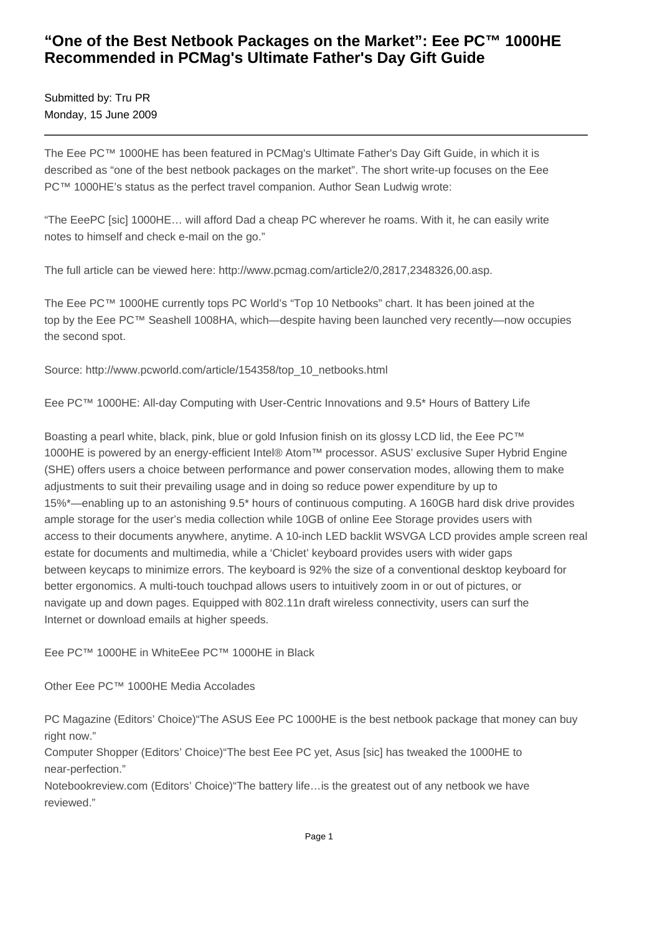## **"One of the Best Netbook Packages on the Market": Eee PC™ 1000HE Recommended in PCMag's Ultimate Father's Day Gift Guide**

Submitted by: Tru PR Monday, 15 June 2009

The Eee PC™ 1000HE has been featured in PCMag's Ultimate Father's Day Gift Guide, in which it is described as "one of the best netbook packages on the market". The short write-up focuses on the Eee PC™ 1000HE's status as the perfect travel companion. Author Sean Ludwig wrote:

"The EeePC [sic] 1000HE… will afford Dad a cheap PC wherever he roams. With it, he can easily write notes to himself and check e-mail on the go."

The full article can be viewed here: http://www.pcmag.com/article2/0,2817,2348326,00.asp.

The Eee PC™ 1000HE currently tops PC World's "Top 10 Netbooks" chart. It has been joined at the top by the Eee PC™ Seashell 1008HA, which—despite having been launched very recently—now occupies the second spot.

Source: http://www.pcworld.com/article/154358/top\_10\_netbooks.html

Eee PC™ 1000HE: All-day Computing with User-Centric Innovations and 9.5\* Hours of Battery Life

Boasting a pearl white, black, pink, blue or gold Infusion finish on its glossy LCD lid, the Eee PC™ 1000HE is powered by an energy-efficient Intel® Atom™ processor. ASUS' exclusive Super Hybrid Engine (SHE) offers users a choice between performance and power conservation modes, allowing them to make adjustments to suit their prevailing usage and in doing so reduce power expenditure by up to 15%\*—enabling up to an astonishing 9.5\* hours of continuous computing. A 160GB hard disk drive provides ample storage for the user's media collection while 10GB of online Eee Storage provides users with access to their documents anywhere, anytime. A 10-inch LED backlit WSVGA LCD provides ample screen real estate for documents and multimedia, while a 'Chiclet' keyboard provides users with wider gaps between keycaps to minimize errors. The keyboard is 92% the size of a conventional desktop keyboard for better ergonomics. A multi-touch touchpad allows users to intuitively zoom in or out of pictures, or navigate up and down pages. Equipped with 802.11n draft wireless connectivity, users can surf the Internet or download emails at higher speeds.

Eee PC™ 1000HE in White Eee PC™ 1000HE in Black

Other Eee PC™ 1000HE Media Accolades

PC Magazine (Editors' Choice)"The ASUS Eee PC 1000HE is the best netbook package that money can buy right now."

Computer Shopper (Editors' Choice)"The best Eee PC yet, Asus [sic] has tweaked the 1000HE to near-perfection."

Notebookreview.com (Editors' Choice)"The battery life…is the greatest out of any netbook we have reviewed."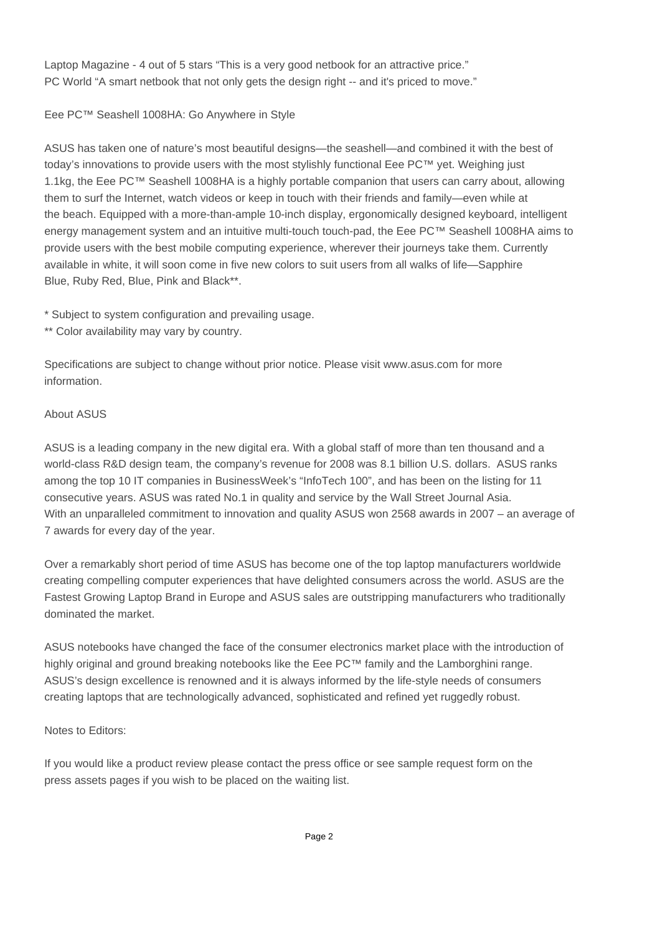Laptop Magazine - 4 out of 5 stars "This is a very good netbook for an attractive price." PC World "A smart netbook that not only gets the design right -- and it's priced to move."

Eee PC™ Seashell 1008HA: Go Anywhere in Style

ASUS has taken one of nature's most beautiful designs—the seashell—and combined it with the best of today's innovations to provide users with the most stylishly functional Eee PC™ yet. Weighing just 1.1kg, the Eee PC™ Seashell 1008HA is a highly portable companion that users can carry about, allowing them to surf the Internet, watch videos or keep in touch with their friends and family—even while at the beach. Equipped with a more-than-ample 10-inch display, ergonomically designed keyboard, intelligent energy management system and an intuitive multi-touch touch-pad, the Eee PC™ Seashell 1008HA aims to provide users with the best mobile computing experience, wherever their journeys take them. Currently available in white, it will soon come in five new colors to suit users from all walks of life—Sapphire Blue, Ruby Red, Blue, Pink and Black\*\*.

\* Subject to system configuration and prevailing usage.

\*\* Color availability may vary by country.

Specifications are subject to change without prior notice. Please visit www.asus.com for more information.

## About ASUS

ASUS is a leading company in the new digital era. With a global staff of more than ten thousand and a world-class R&D design team, the company's revenue for 2008 was 8.1 billion U.S. dollars. ASUS ranks among the top 10 IT companies in BusinessWeek's "InfoTech 100", and has been on the listing for 11 consecutive years. ASUS was rated No.1 in quality and service by the Wall Street Journal Asia. With an unparalleled commitment to innovation and quality ASUS won 2568 awards in 2007 – an average of 7 awards for every day of the year.

Over a remarkably short period of time ASUS has become one of the top laptop manufacturers worldwide creating compelling computer experiences that have delighted consumers across the world. ASUS are the Fastest Growing Laptop Brand in Europe and ASUS sales are outstripping manufacturers who traditionally dominated the market.

ASUS notebooks have changed the face of the consumer electronics market place with the introduction of highly original and ground breaking notebooks like the Eee PC™ family and the Lamborghini range. ASUS's design excellence is renowned and it is always informed by the life-style needs of consumers creating laptops that are technologically advanced, sophisticated and refined yet ruggedly robust.

## Notes to Editors:

If you would like a product review please contact the press office or see sample request form on the press assets pages if you wish to be placed on the waiting list.